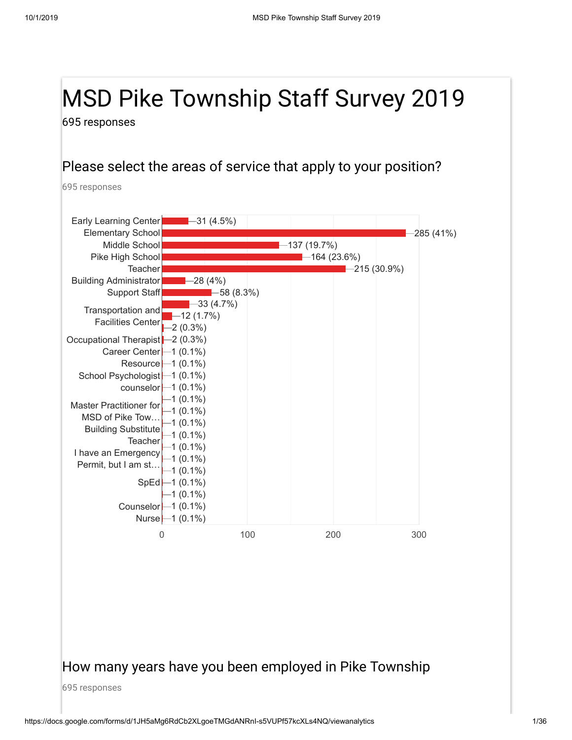# MSD Pike Township Staff Survey 2019

695 responses

#### Please select the areas of service that apply to your position?

695 responses



#### How many years have you been employed in Pike Township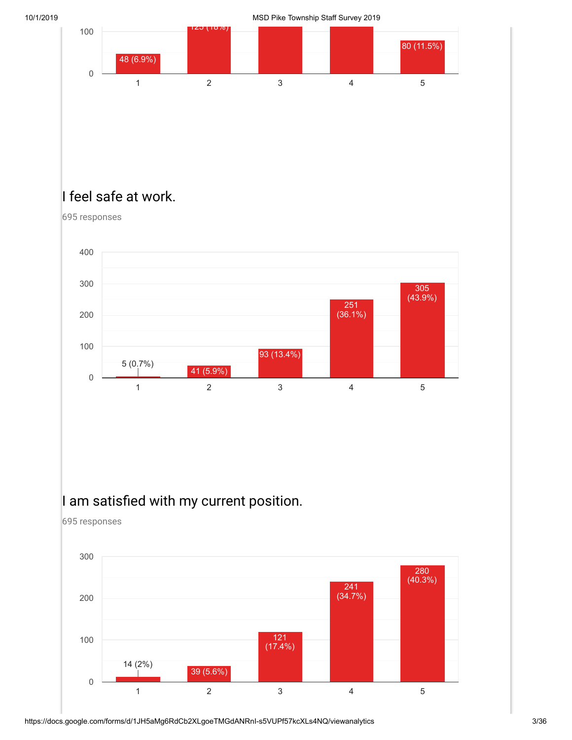10/1/2019 MSD Pike Township Staff Survey 2019



# I feel safe at work.

695 responses

0



1 2 3 4 5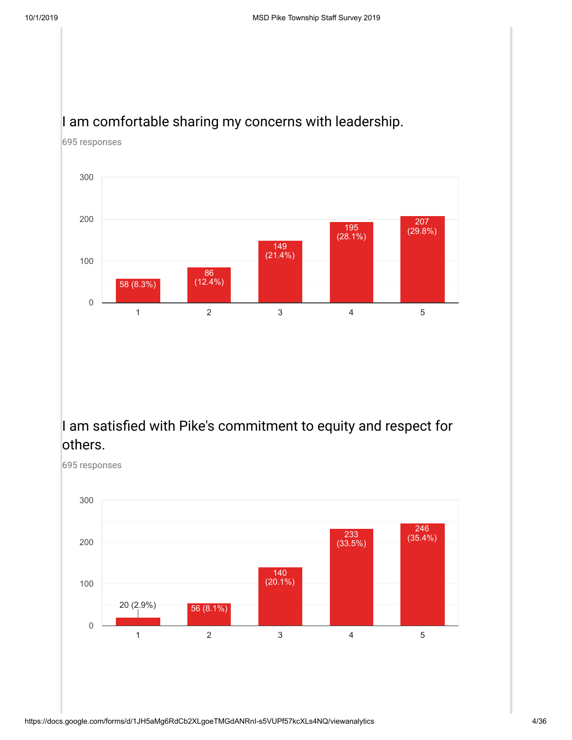## I am comfortable sharing my concerns with leadership.



695 responses

## I am satisfied with Pike's commitment to equity and respect for others.

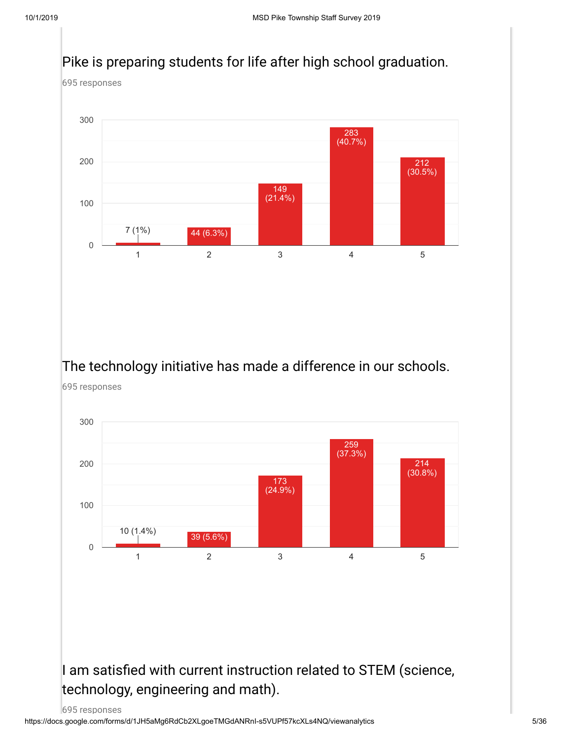#### Pike is preparing students for life after high school graduation.

695 responses



## The technology initiative has made a difference in our schools.

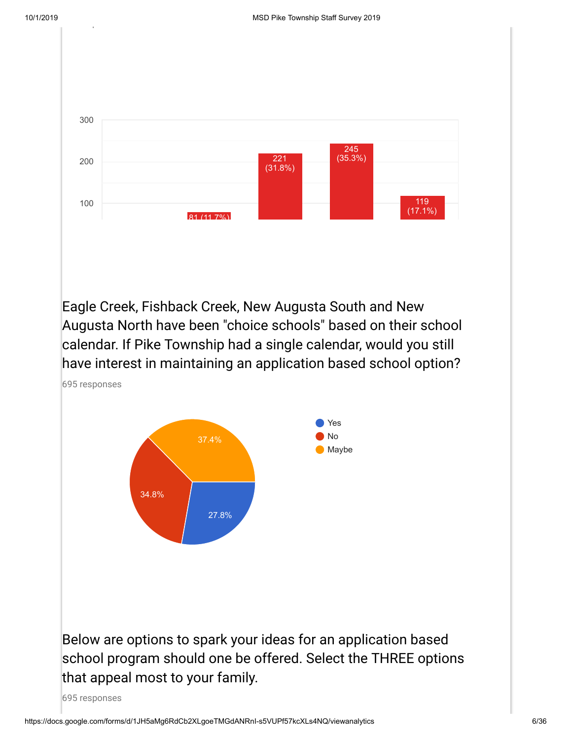p



Eagle Creek, Fishback Creek, New Augusta South and New Augusta North have been "choice schools" based on their school calendar. If Pike Township had a single calendar, would you still have interest in maintaining an application based school option?

695 responses

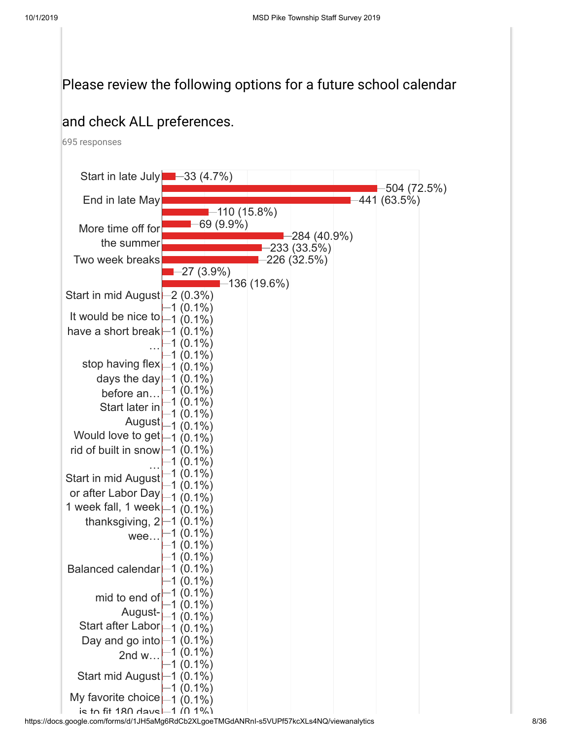## Please review the following options for a future school calendar

## and check ALL preferences.

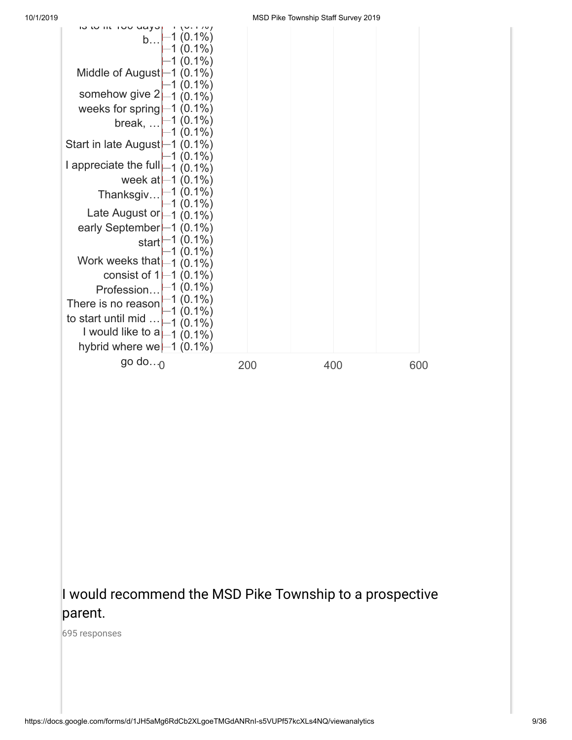

## I would recommend the MSD Pike Township to a prospective parent.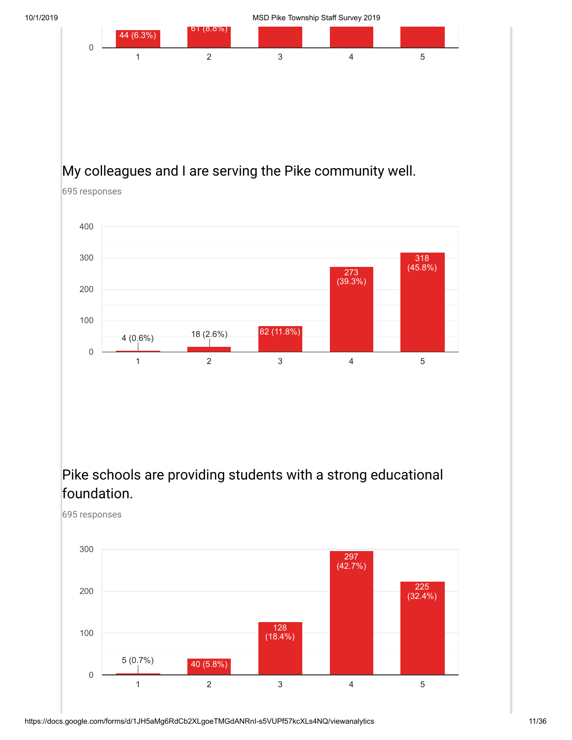

# My colleagues and I are serving the Pike community well.

695 responses

695 responses



## Pike schools are providing students with a strong educational foundation.

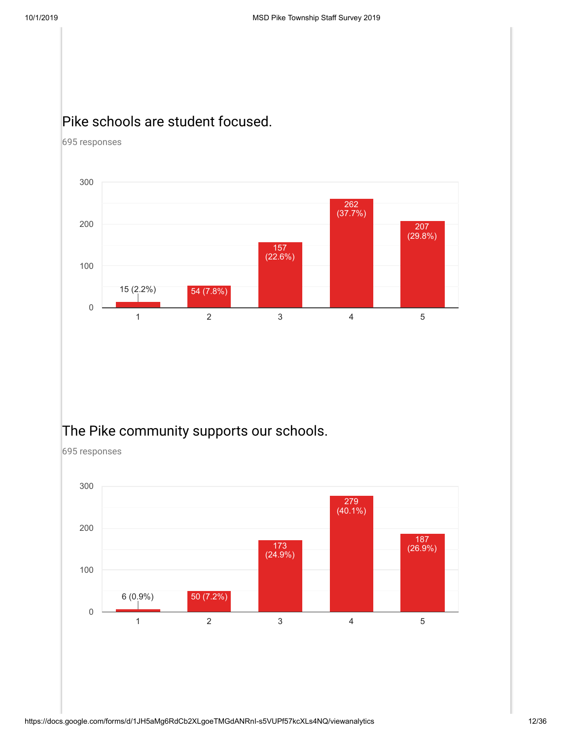## Pike schools are student focused.

695 responses



# The Pike community supports our schools.

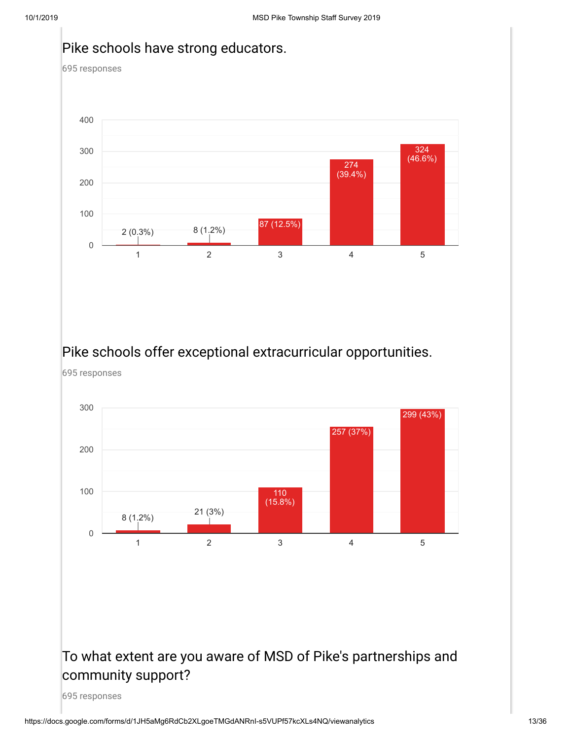#### Pike schools have strong educators.

695 responses



#### Pike schools offer exceptional extracurricular opportunities.

695 responses



## To what extent are you aware of MSD of Pike's partnerships and community support?